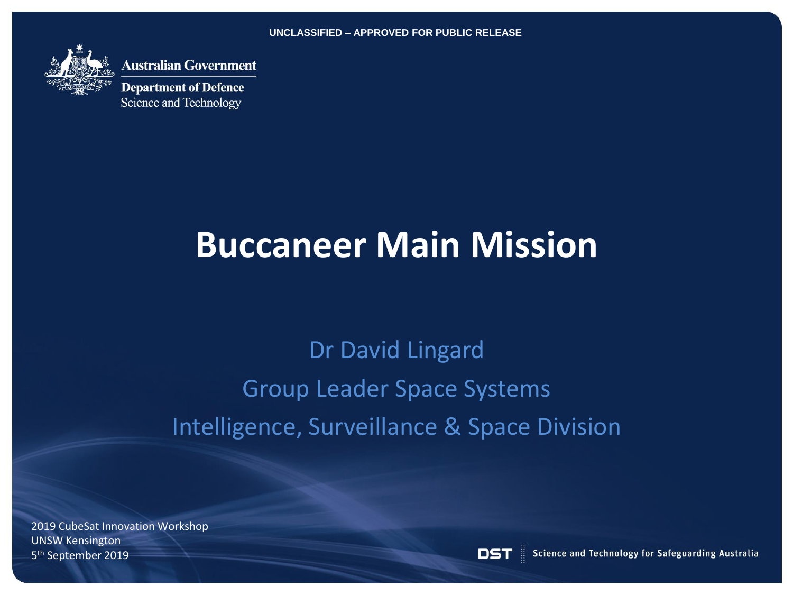**UNCLASSIFIED – APPROVED FOR PUBLIC RELEASE**



**Nustralian Government** 

**Department of Defence** Science and Technology

# **Buccaneer Main Mission**

## Dr David Lingard Group Leader Space Systems Intelligence, Surveillance & Space Division

2019 CubeSat Innovation Workshop UNSW Kensington 5 th September 2019

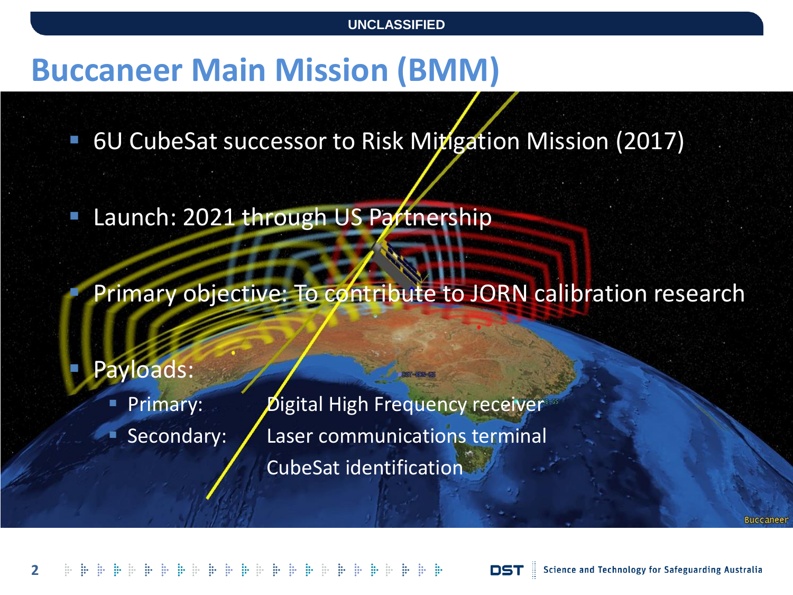### **Buccaneer Main Mission (BMM)**

6U CubeSat successor to Risk Mitigation Mission (2017)

Launch: 2021 through US Partnership

Primary objective: To contribute to JORN calibration research

Payloads:

Primary: Digital High Frequency receiver Secondary: / Laser communications terminal CubeSat identification

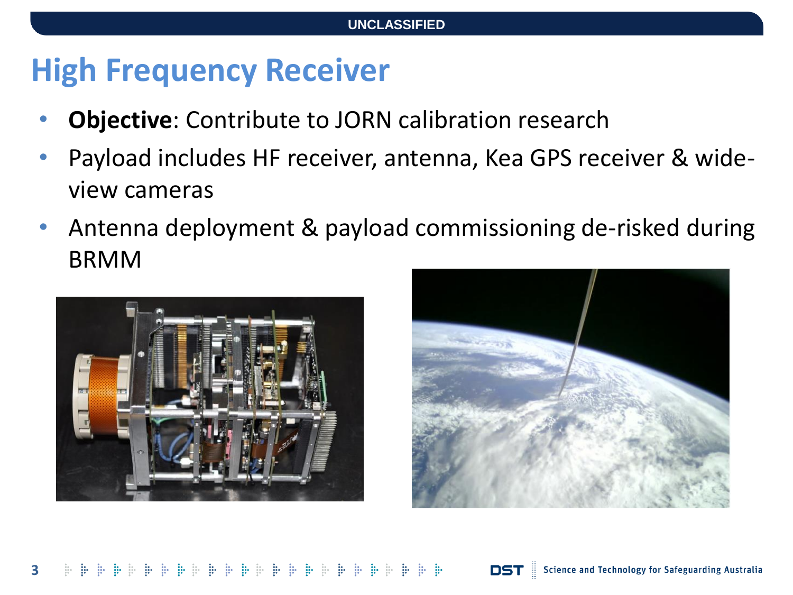## **High Frequency Receiver**

- **Objective**: Contribute to JORN calibration research
- Payload includes HF receiver, antenna, Kea GPS receiver & wideview cameras
- Antenna deployment & payload commissioning de-risked during BRMM



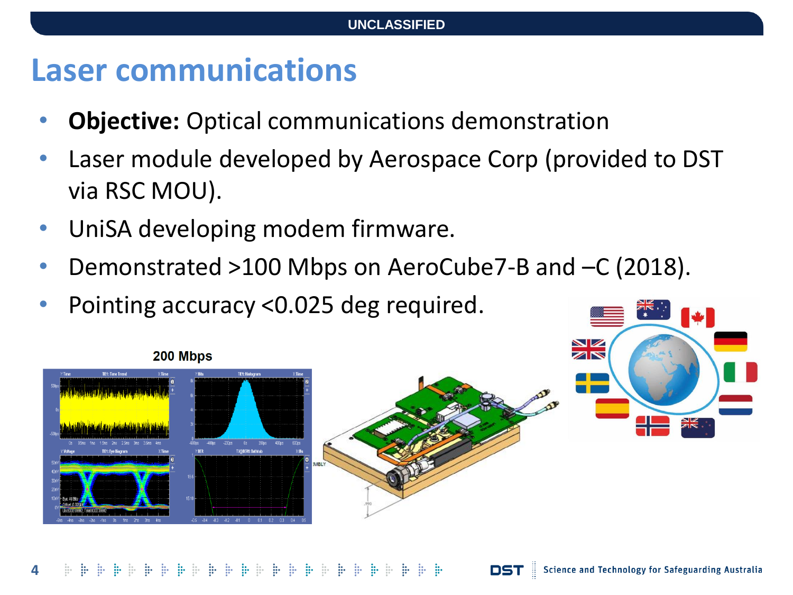#### **Laser communications**

- **Objective:** Optical communications demonstration
- Laser module developed by Aerospace Corp (provided to DST via RSC MOU).
- UniSA developing modem firmware.
- Demonstrated >100 Mbps on AeroCube7-B and –C (2018).
- Pointing accuracy <0.025 deg required.

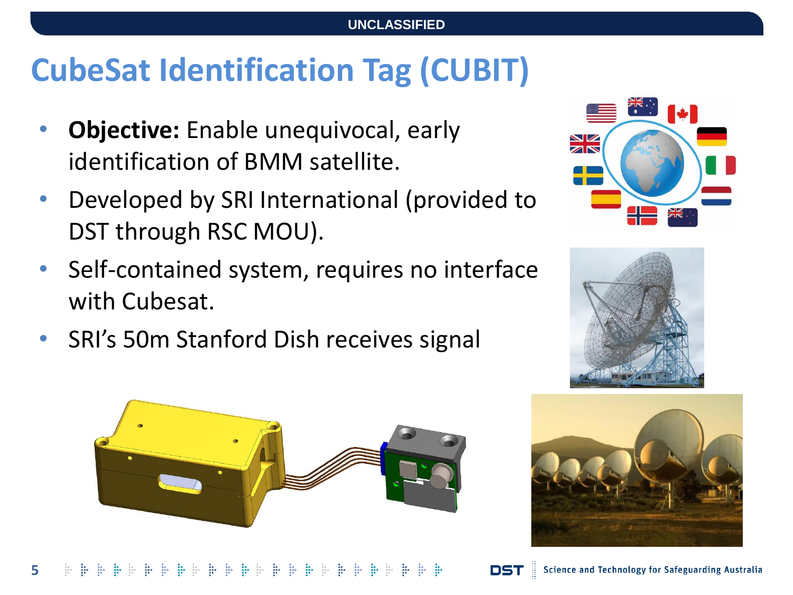## **CubeSat Identification Tag (CUBIT)**

- **Objective:** Enable unequivocal, early identification of BMM satellite.
- Developed by SRI International (provided to DST through RSC MOU).
- Self-contained system, requires no interface with Cubesat.
- SRI's 50m Stanford Dish receives signal



 $\mathbb{R}^n \twoheadrightarrow \mathbb{R}^n \twoheadrightarrow \mathbb{R}^n \twoheadrightarrow \mathbb{R}^n \twoheadrightarrow \mathbb{R}^n \twoheadrightarrow \mathbb{R}^n \twoheadrightarrow \mathbb{R}^n \twoheadrightarrow \mathbb{R}^n \twoheadrightarrow \mathbb{R}^n \twoheadrightarrow \mathbb{R}^n \twoheadrightarrow \mathbb{R}^n \twoheadrightarrow \mathbb{R}^n \twoheadrightarrow \mathbb{R}^n \twoheadrightarrow \mathbb{R}^n \twoheadrightarrow \mathbb{R}^n \twoheadrightarrow \mathbb{R}^n \twoheadrightarrow \mathbb{R}^n \twoheadrightarrow \mathbb{R}^n \twoheadrightarrow \mathbb{$ 







Science and Technology for Safeguarding Australia

DST